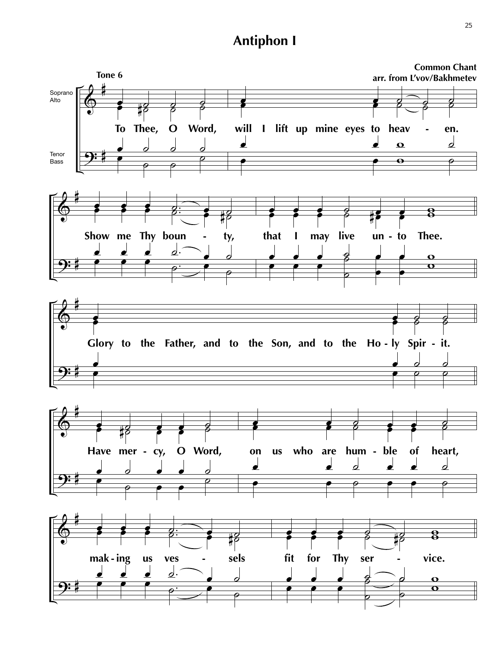# **Antiphon I**

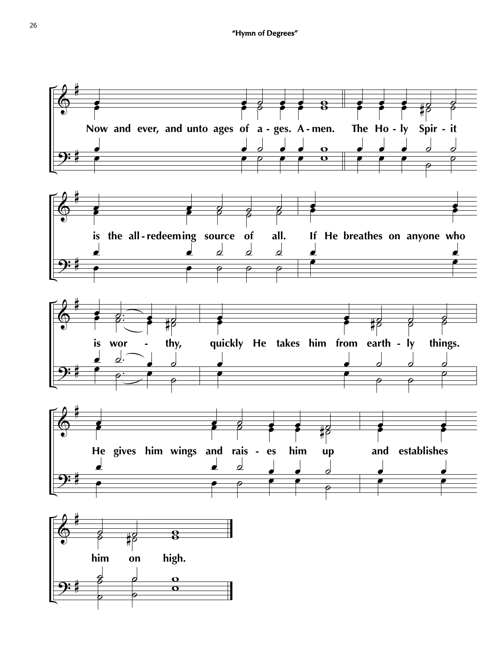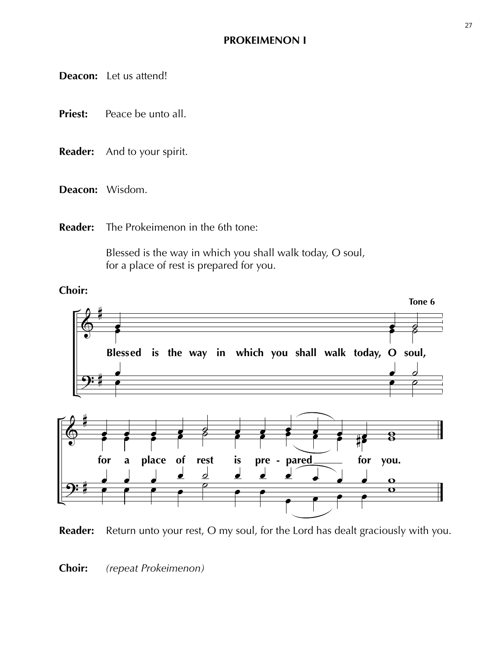### **PROKEIMENON I**

**Deacon:** Let us attend!

- **Priest:** Peace be unto all.
- **Reader:** And to your spirit.
- **Deacon:** Wisdom.
- **Reader:** The Prokeimenon in the 6th tone:

 Blessed is the way in which you shall walk today, O soul, for a place of rest is prepared for you.

### **Choir:**





### **Choir:** *(repeat Prokeimenon)*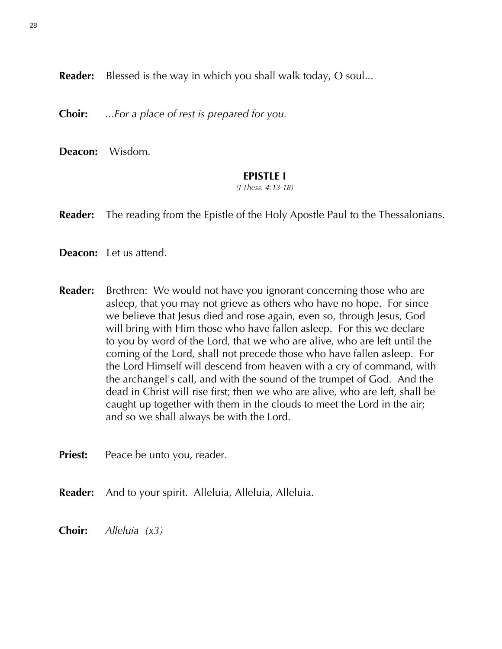**Reader:** Blessed is the way in which you shall walk today, O soul...

**Choir:** ...*For a place of rest is prepared for you.*

**Deacon:** Wisdom.

#### **EPISTLE I**

*(I Thess. 4:13-18)*

**Reader:** The reading from the Epistle of the Holy Apostle Paul to the Thessalonians.

**Deacon:** Let us attend.

**Reader:** Brethren: We would not have you ignorant concerning those who are asleep, that you may not grieve as others who have no hope. For since we believe that Jesus died and rose again, even so, through Jesus, God will bring with Him those who have fallen asleep. For this we declare to you by word of the Lord, that we who are alive, who are left until the coming of the Lord, shall not precede those who have fallen asleep. For the Lord Himself will descend from heaven with a cry of command, with the archangel's call, and with the sound of the trumpet of God. And the dead in Christ will rise first; then we who are alive, who are left, shall be caught up together with them in the clouds to meet the Lord in the air; and so we shall always be with the Lord.

**Priest:** Peace be unto you, reader.

**Reader:** And to your spirit. Alleluia, Alleluia, Alleluia.

**Choir:** *Alleluia (x3)*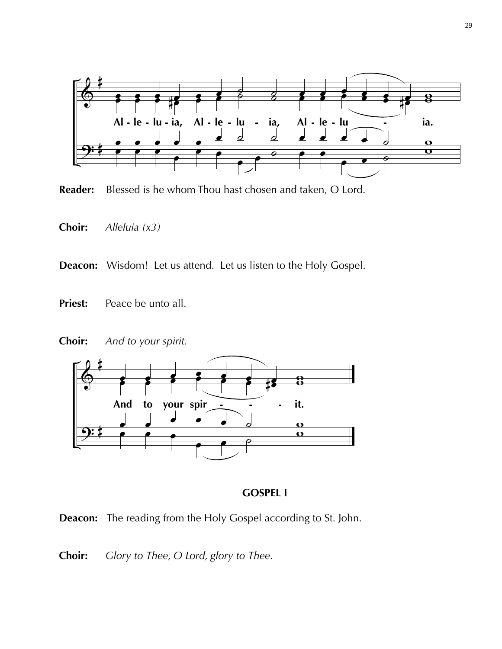

**Reader:** Blessed is he whom Thou hast chosen and taken, O Lord.

**Choir:** *Alleluia (x3)*

**Deacon:** Wisdom! Let us attend. Let us listen to the Holy Gospel.

- **Priest:** Peace be unto all.
- **Choir:** *And to your spirit.*



### **GOSPEL I**



**Choir:** *Glory to Thee, O Lord, glory to Thee.*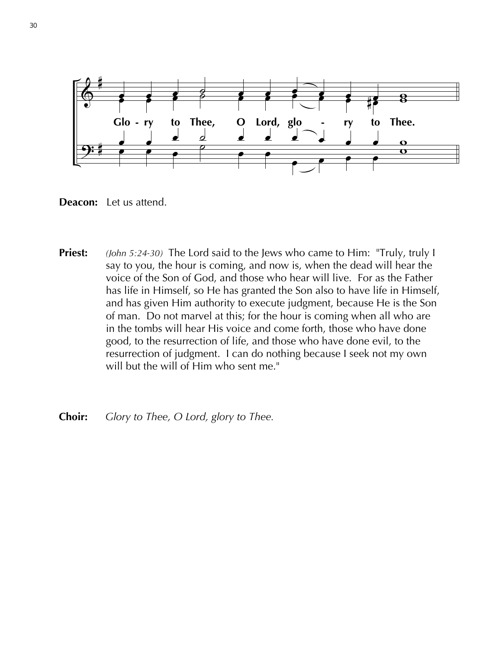

**Deacon:** Let us attend.

- **Priest:** *(John 5:24-30)* The Lord said to the Jews who came to Him: "Truly, truly I say to you, the hour is coming, and now is, when the dead will hear the voice of the Son of God, and those who hear will live. For as the Father has life in Himself, so He has granted the Son also to have life in Himself, and has given Him authority to execute judgment, because He is the Son of man. Do not marvel at this; for the hour is coming when all who are in the tombs will hear His voice and come forth, those who have done good, to the resurrection of life, and those who have done evil, to the resurrection of judgment. I can do nothing because I seek not my own will but the will of Him who sent me."
- **Choir:** *Glory to Thee, O Lord, glory to Thee.*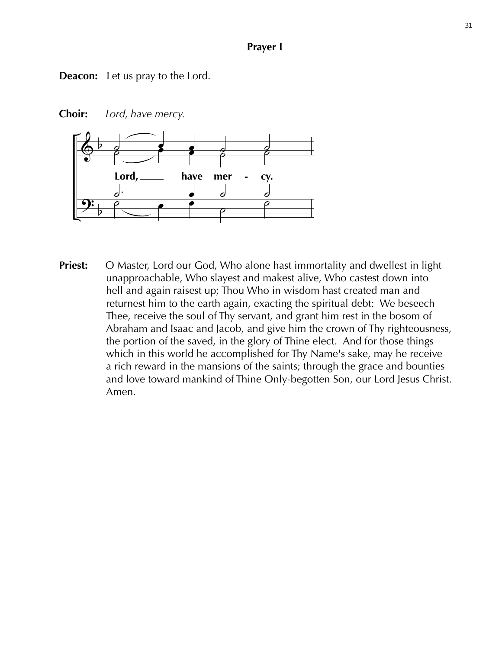#### **Prayer I**

**Deacon:** Let us pray to the Lord.

 $\lambda$  $\frac{2}{3}$  $\frac{1}{5}$  $\overline{\phantom{0}}$  $\overline{\phantom{a}}$  $\overline{\phantom{a}}$ have mer - cy.  $\frac{1}{2}$  $\frac{1}{2}$  $\frac{1}{2}$ Lord.  $\lim_{\epsilon \to 0}$  ave means  $\begin{bmatrix} 1 & 1 & 1 \\ 1 & 1 & 1 \\ 1 & 1 & 1 \end{bmatrix}$  $\frac{1}{2}$  $\frac{\theta}{\theta}$   $\frac{\theta}{\theta}$  $\frac{1}{2}$  $\frac{d}{2}$ **-**

**Choir:** *Lord, have mercy.*

**Priest:** O Master, Lord our God, Who alone hast immortality and dwellest in light unapproachable, Who slayest and makest alive, Who castest down into hell and again raisest up; Thou Who in wisdom hast created man and returnest him to the earth again, exacting the spiritual debt: We beseech Thee, receive the soul of Thy servant, and grant him rest in the bosom of Abraham and Isaac and Jacob, and give him the crown of Thy righteousness, the portion of the saved, in the glory of Thine elect. And for those things which in this world he accomplished for Thy Name's sake, may he receive a rich reward in the mansions of the saints; through the grace and bounties and love toward mankind of Thine Only-begotten Son, our Lord Jesus Christ. Amen.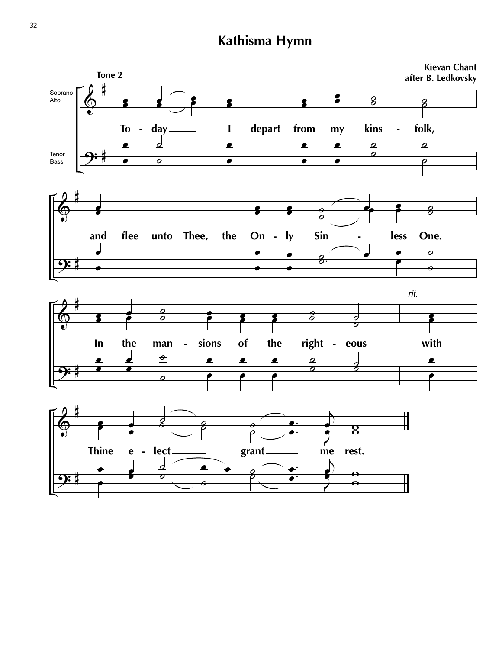# **Kathisma Hymn**

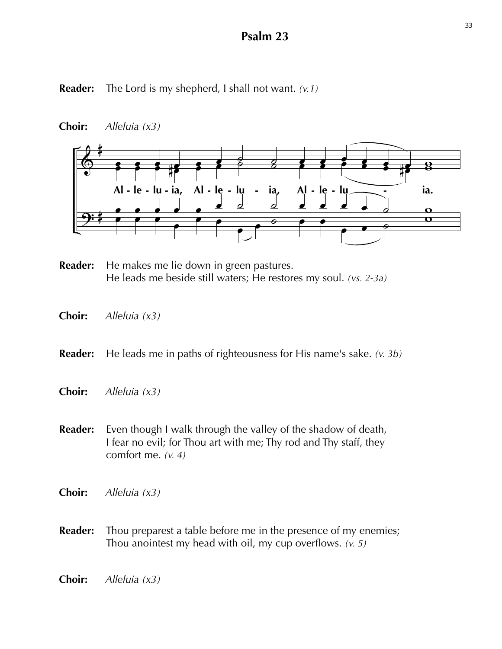### **Psalm 23**

**Reader:** The Lord is my shepherd, I shall not want. *(v.1)*





- **Reader:** He makes me lie down in green pastures. He leads me beside still waters; He restores my soul. *(vs. 2-3a)*
- **Choir:** *Alleluia (x3)*

**Reader:** He leads me in paths of righteousness for His name's sake. *(v. 3b)*

- **Choir:** *Alleluia (x3)*
- **Reader:** Even though I walk through the valley of the shadow of death, I fear no evil; for Thou art with me; Thy rod and Thy staff, they comfort me. *(v. 4)*
- **Choir:** *Alleluia (x3)*
- **Reader:** Thou preparest a table before me in the presence of my enemies; Thou anointest my head with oil, my cup overflows. *(v. 5)*
- **Choir:** *Alleluia (x3)*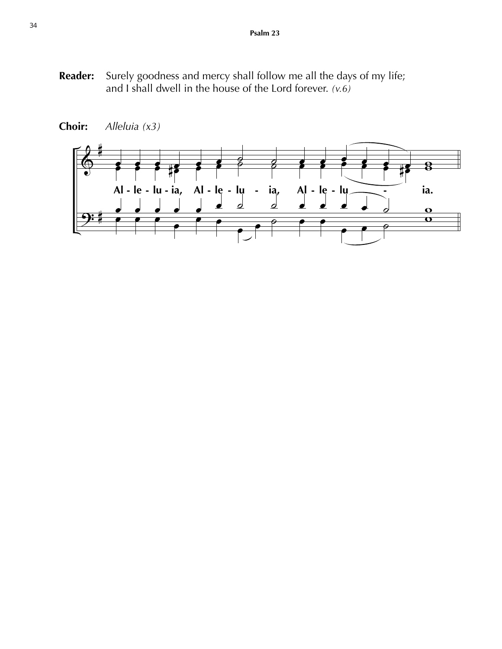**Reader:** Surely goodness and mercy shall follow me all the days of my life; and I shall dwell in the house of the Lord forever. *(v.6)*



**Choir:** *Alleluia (x3)*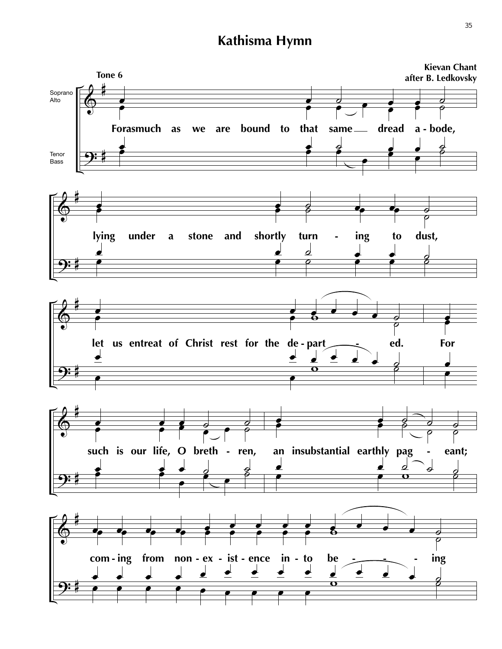# **Kathisma Hymn**

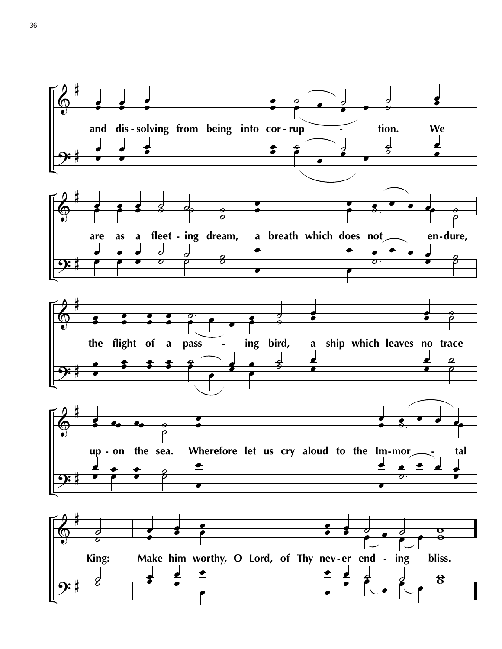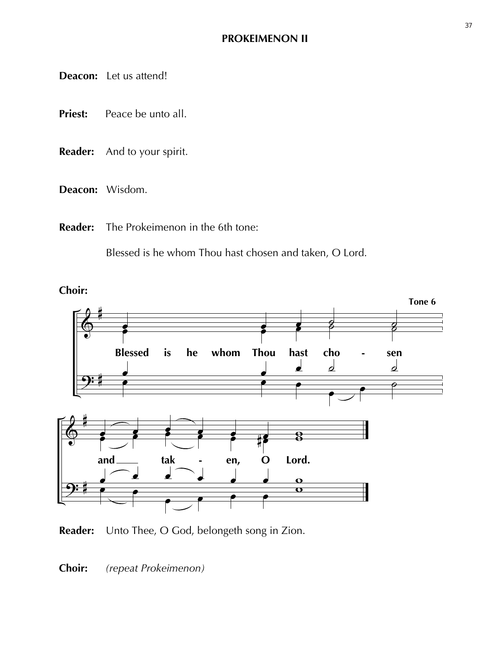**Deacon:** Let us attend!

- **Priest:** Peace be unto all.
- **Reader:** And to your spirit.
- **Deacon:** Wisdom.
- **Reader:** The Prokeimenon in the 6th tone:

Blessed is he whom Thou hast chosen and taken, O Lord.



**Reader:** Unto Thee, O God, belongeth song in Zion.

**Choir:** *(repeat Prokeimenon)*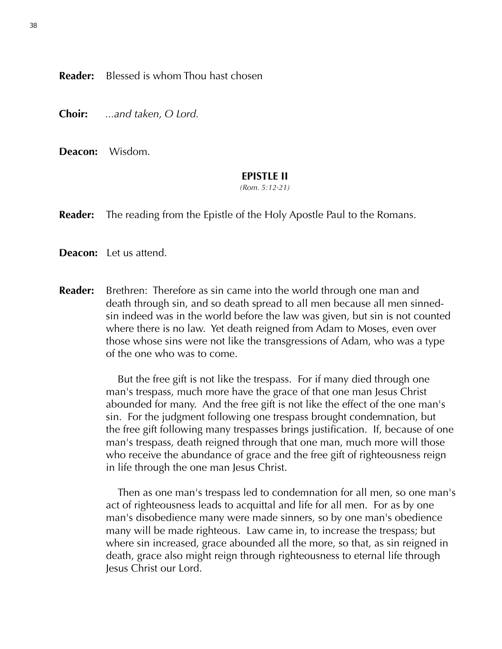**Reader:** Blessed is whom Thou hast chosen

**Choir:** *...and taken, O Lord.*

**Deacon:** Wisdom.

#### **EPISTLE II**

*(Rom. 5:12-21)*

**Reader:** The reading from the Epistle of the Holy Apostle Paul to the Romans.

**Deacon:** Let us attend.

**Reader:** Brethren: Therefore as sin came into the world through one man and death through sin, and so death spread to all men because all men sinned sin indeed was in the world before the law was given, but sin is not counted where there is no law. Yet death reigned from Adam to Moses, even over those whose sins were not like the transgressions of Adam, who was a type of the one who was to come.

> But the free gift is not like the trespass. For if many died through one man's trespass, much more have the grace of that one man Jesus Christ abounded for many. And the free gift is not like the effect of the one man's sin. For the judgment following one trespass brought condemnation, but the free gift following many trespasses brings justification. If, because of one man's trespass, death reigned through that one man, much more will those who receive the abundance of grace and the free gift of righteousness reign in life through the one man Jesus Christ.

> Then as one man's trespass led to condemnation for all men, so one man's act of righteousness leads to acquittal and life for all men. For as by one man's disobedience many were made sinners, so by one man's obedience many will be made righteous. Law came in, to increase the trespass; but where sin increased, grace abounded all the more, so that, as sin reigned in death, grace also might reign through righteousness to eternal life through Jesus Christ our Lord.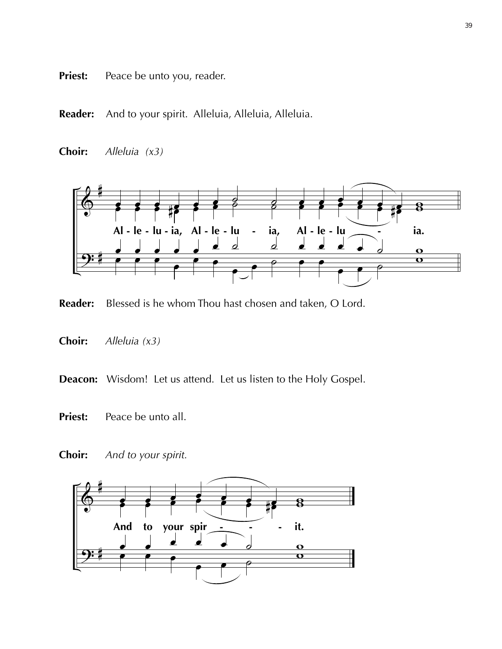- **Priest:** Peace be unto you, reader.
- **Reader:** And to your spirit. Alleluia, Alleluia, Alleluia.
- **Choir:** *Alleluia (x3)*



**Reader:** Blessed is he whom Thou hast chosen and taken, O Lord.

**Choir:** *Alleluia (x3)*

**Deacon:** Wisdom! Let us attend. Let us listen to the Holy Gospel.

- **Priest:** Peace be unto all.
- **Choir:** *And to your spirit.*

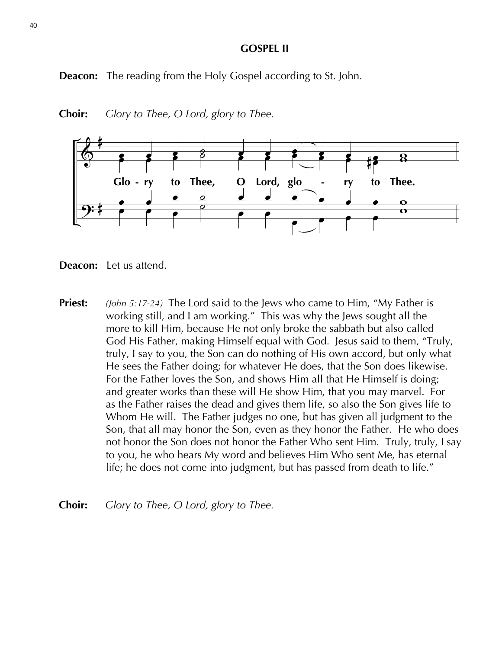#### **GOSPEL II**

**Deacon:** The reading from the Holy Gospel according to St. John.







- **Priest:** *(John 5:17-24)* The Lord said to the Jews who came to Him, "My Father is working still, and I am working." This was why the Jews sought all the more to kill Him, because He not only broke the sabbath but also called God His Father, making Himself equal with God. Jesus said to them, "Truly, truly, I say to you, the Son can do nothing of His own accord, but only what He sees the Father doing; for whatever He does, that the Son does likewise. For the Father loves the Son, and shows Him all that He Himself is doing; and greater works than these will He show Him, that you may marvel. For as the Father raises the dead and gives them life, so also the Son gives life to Whom He will. The Father judges no one, but has given all judgment to the Son, that all may honor the Son, even as they honor the Father. He who does not honor the Son does not honor the Father Who sent Him. Truly, truly, I say to you, he who hears My word and believes Him Who sent Me, has eternal life; he does not come into judgment, but has passed from death to life."
- **Choir:** *Glory to Thee, O Lord, glory to Thee.*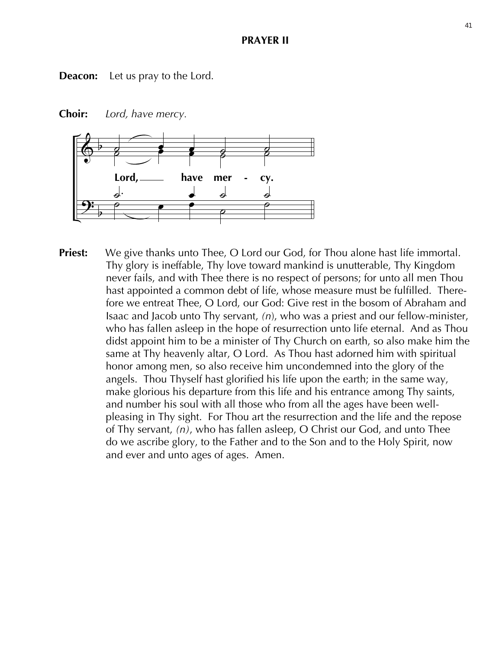#### **PRAYER II**

**Deacon:** Let us pray to the Lord.



**Choir:** *Lord, have mercy.*

**Priest:** We give thanks unto Thee, O Lord our God, for Thou alone hast life immortal. Thy glory is ineffable, Thy love toward mankind is unutterable, Thy Kingdom never fails, and with Thee there is no respect of persons; for unto all men Thou hast appointed a common debt of life, whose measure must be fulfilled. There fore we entreat Thee, O Lord, our God: Give rest in the bosom of Abraham and Isaac and Jacob unto Thy servant, *(n*), who was a priest and our fellow-minister, who has fallen asleep in the hope of resurrection unto life eternal. And as Thou didst appoint him to be a minister of Thy Church on earth, so also make him the same at Thy heavenly altar, O Lord. As Thou hast adorned him with spiritual honor among men, so also receive him uncondemned into the glory of the angels. Thou Thyself hast glorified his life upon the earth; in the same way, make glorious his departure from this life and his entrance among Thy saints, and number his soul with all those who from all the ages have been well pleasing in Thy sight. For Thou art the resurrection and the life and the repose of Thy servant, *(n)*, who has fallen asleep, O Christ our God, and unto Thee do we ascribe glory, to the Father and to the Son and to the Holy Spirit, now and ever and unto ages of ages. Amen.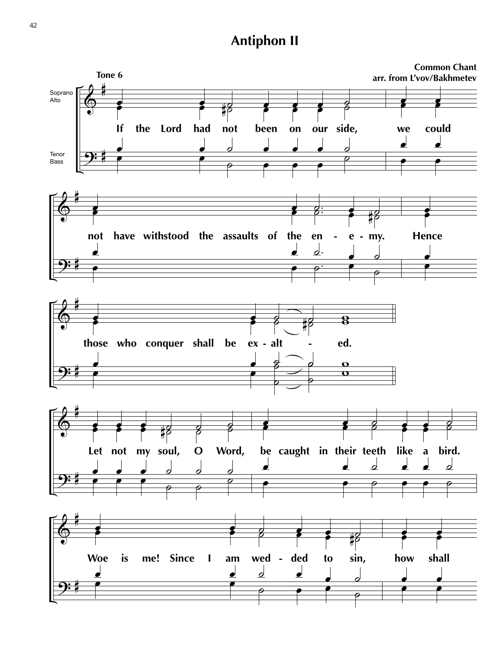# **Antiphon II**

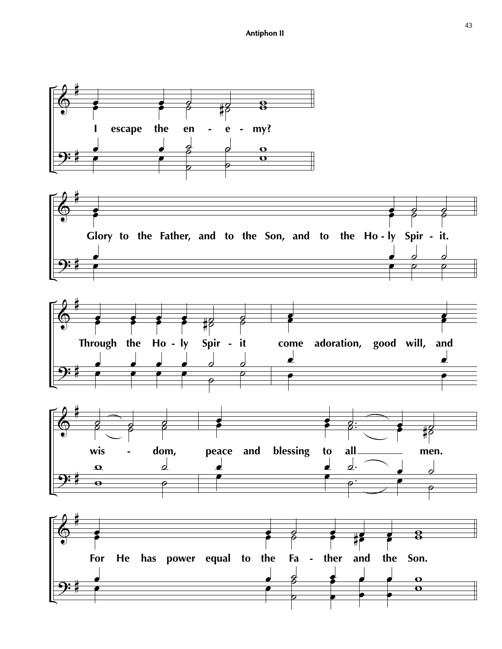







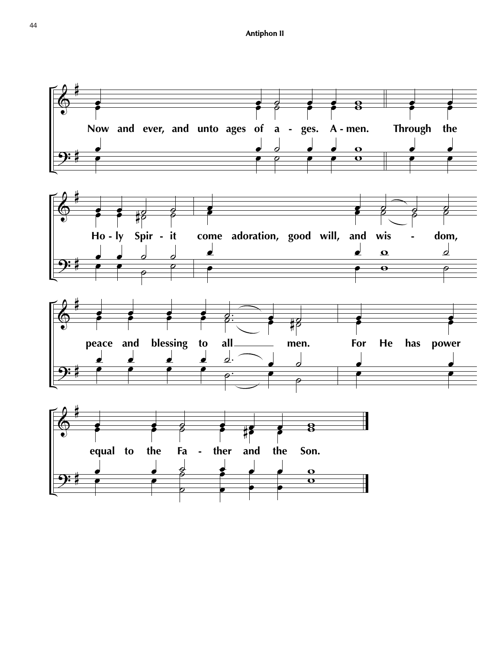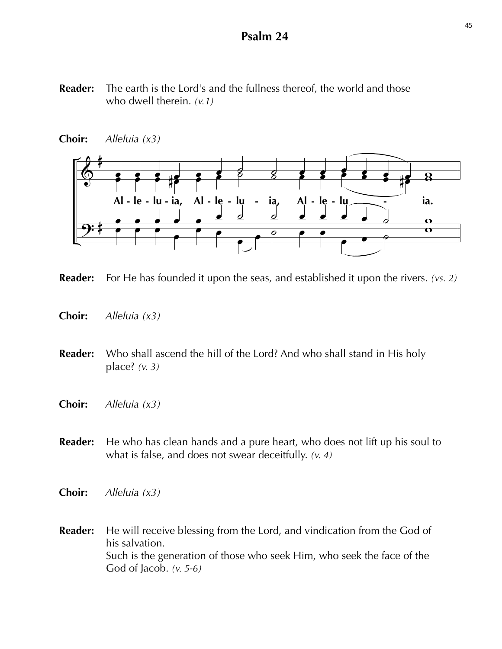### **Psalm 24**

**Reader:** The earth is the Lord's and the fullness thereof, the world and those who dwell therein. *(v.1)*





**Reader:** For He has founded it upon the seas, and established it upon the rivers. *(vs. 2)*

- **Choir:** *Alleluia (x3)*
- **Reader:** Who shall ascend the hill of the Lord? And who shall stand in His holy place? *(v. 3)*
- **Choir:** *Alleluia (x3)*
- **Reader:** He who has clean hands and a pure heart, who does not lift up his soul to what is false, and does not swear deceitfully. *(v. 4)*
- **Choir:** *Alleluia (x3)*
- **Reader:** He will receive blessing from the Lord, and vindication from the God of his salvation. Such is the generation of those who seek Him, who seek the face of the God of Jacob. *(v. 5-6)*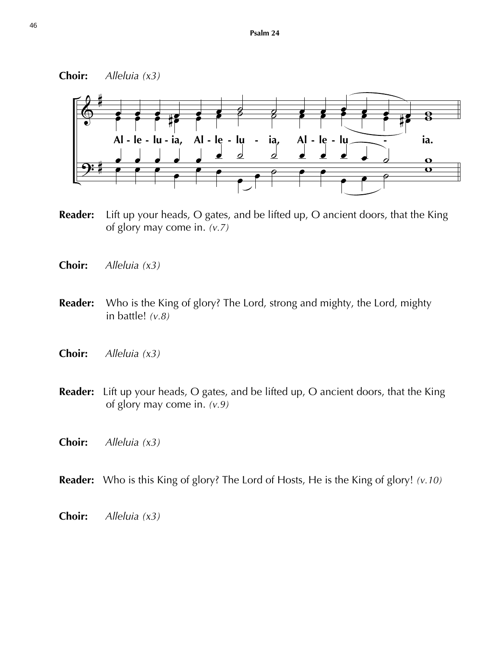### **Choir:** *Alleluia (x3)*



- **Reader:** Lift up your heads, O gates, and be lifted up, O ancient doors, that the King of glory may come in. *(v.7)*
- **Choir:** *Alleluia (x3)*
- **Reader:** Who is the King of glory? The Lord, strong and mighty, the Lord, mighty in battle! *(v.8)*
- **Choir:** *Alleluia (x3)*
- **Reader:** Lift up your heads, O gates, and be lifted up, O ancient doors, that the King of glory may come in. *(v.9)*
- **Choir:** *Alleluia (x3)*
- **Reader:** Who is this King of glory? The Lord of Hosts, He is the King of glory! *(v.10)*
- **Choir:** *Alleluia (x3)*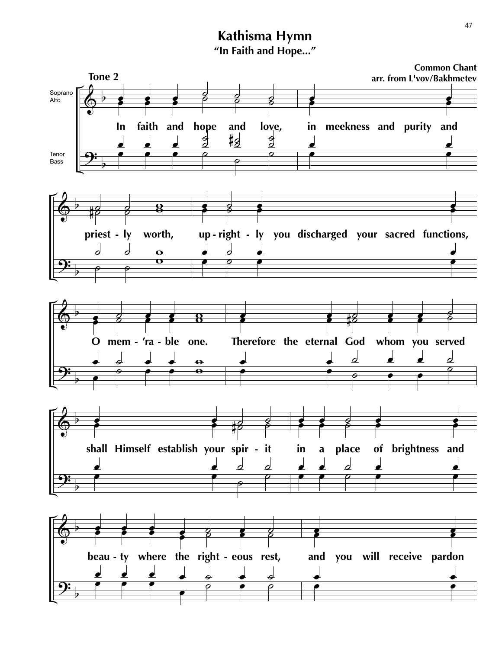# **Kathisma Hymn "In Faith and Hope..."**

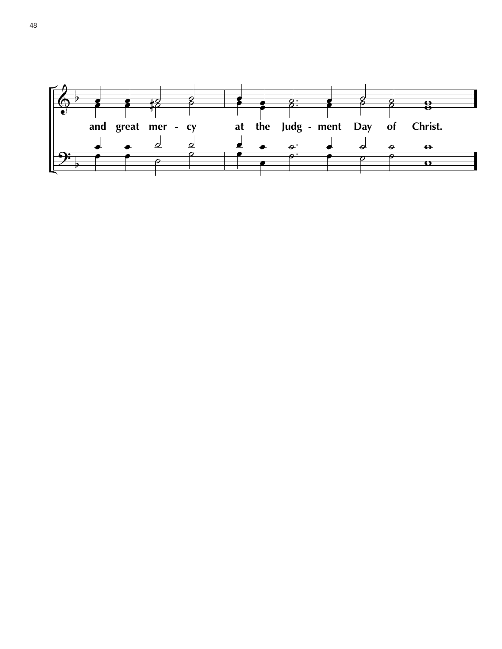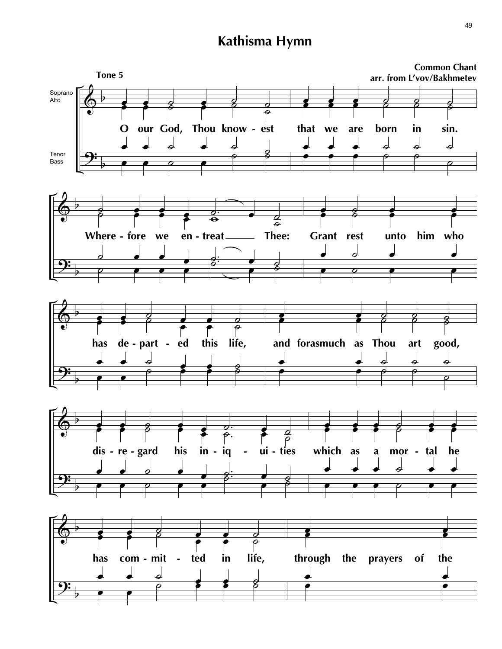# **Kathisma Hymn**

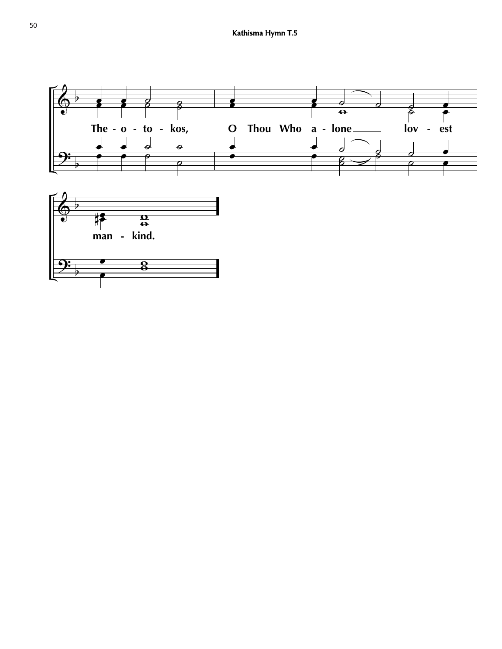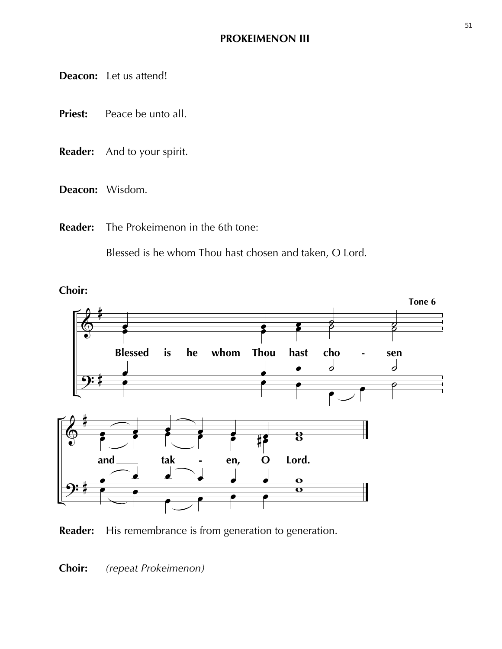**Deacon:** Let us attend!

- **Priest:** Peace be unto all.
- **Reader:** And to your spirit.
- **Deacon:** Wisdom.
- **Reader:** The Prokeimenon in the 6th tone:

Blessed is he whom Thou hast chosen and taken, O Lord.



**Reader:** His remembrance is from generation to generation.

**Choir:** *(repeat Prokeimenon)*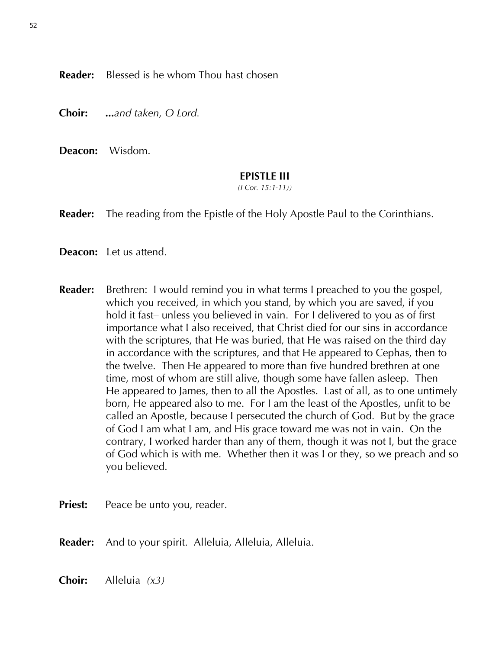**Reader:** Blessed is he whom Thou hast chosen

**Choir: ...***and taken, O Lord.*

**Deacon:** Wisdom.

### **EPISTLE III**

*(I Cor. 15:1-11))*

**Reader:** The reading from the Epistle of the Holy Apostle Paul to the Corinthians.

**Deacon:** Let us attend.

- **Reader:** Brethren: I would remind you in what terms I preached to you the gospel, which you received, in which you stand, by which you are saved, if you hold it fast– unless you believed in vain. For I delivered to you as of first importance what I also received, that Christ died for our sins in accordance with the scriptures, that He was buried, that He was raised on the third day in accordance with the scriptures, and that He appeared to Cephas, then to the twelve. Then He appeared to more than five hundred brethren at one time, most of whom are still alive, though some have fallen asleep. Then He appeared to James, then to all the Apostles. Last of all, as to one untimely born, He appeared also to me. For I am the least of the Apostles, unfit to be called an Apostle, because I persecuted the church of God. But by the grace of God I am what I am, and His grace toward me was not in vain. On the contrary, I worked harder than any of them, though it was not I, but the grace of God which is with me. Whether then it was I or they, so we preach and so you believed.
- **Priest:** Peace be unto you, reader.

**Reader:** And to your spirit. Alleluia, Alleluia, Alleluia.

**Choir:** Alleluia *(x3)*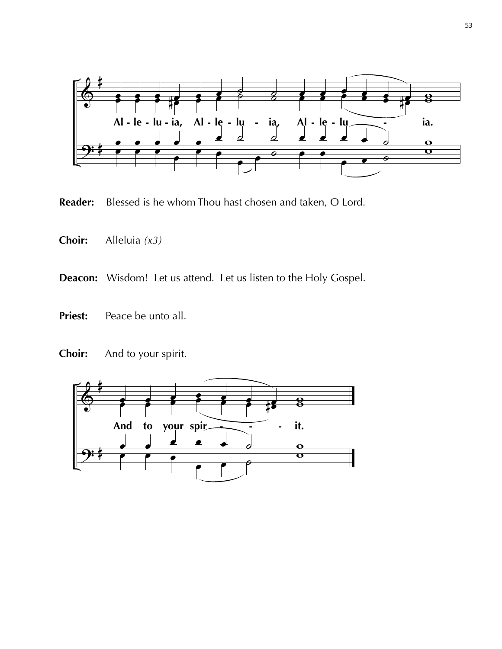

**Reader:** Blessed is he whom Thou hast chosen and taken, O Lord.

- **Choir:** Alleluia *(x3)*
- **Deacon:** Wisdom! Let us attend. Let us listen to the Holy Gospel.
- **Priest:** Peace be unto all.
- **Choir:** And to your spirit.

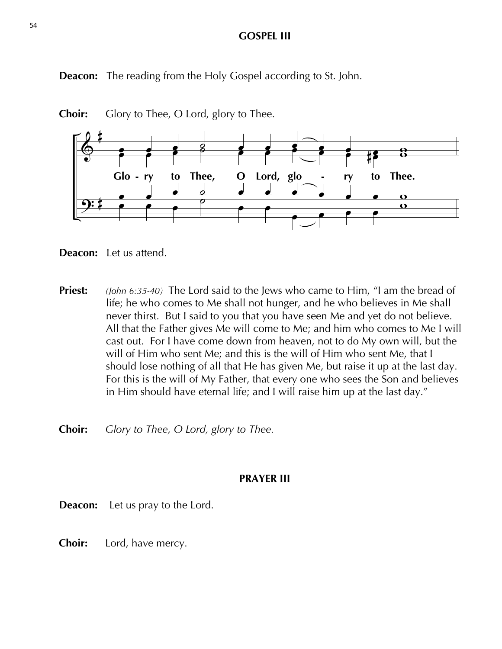### **GOSPEL III**

**Deacon:** The reading from the Holy Gospel according to St. John.



**Choir:** Glory to Thee, O Lord, glory to Thee.



**Priest:** *(John 6:35-40)* The Lord said to the Jews who came to Him, "I am the bread of life; he who comes to Me shall not hunger, and he who believes in Me shall never thirst. But I said to you that you have seen Me and yet do not believe. All that the Father gives Me will come to Me; and him who comes to Me I will cast out. For I have come down from heaven, not to do My own will, but the will of Him who sent Me; and this is the will of Him who sent Me, that I should lose nothing of all that He has given Me, but raise it up at the last day. For this is the will of My Father, that every one who sees the Son and believes in Him should have eternal life; and I will raise him up at the last day."

**Choir:** *Glory to Thee, O Lord, glory to Thee.*

### **PRAYER III**

**Deacon:** Let us pray to the Lord.

**Choir:** Lord, have mercy.

54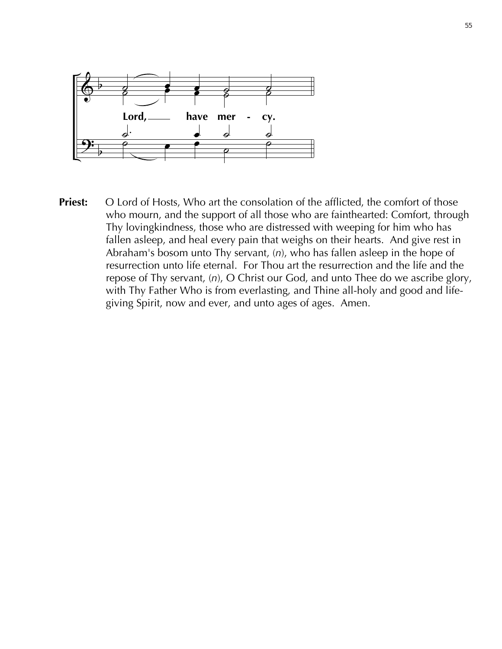

**Priest:** O Lord of Hosts, Who art the consolation of the afflicted, the comfort of those who mourn, and the support of all those who are fainthearted: Comfort, through Thy lovingkindness, those who are distressed with weeping for him who has fallen asleep, and heal every pain that weighs on their hearts. And give rest in Abraham's bosom unto Thy servant, (*n*), who has fallen asleep in the hope of resurrection unto life eternal. For Thou art the resurrection and the life and the repose of Thy servant, (*n*), O Christ our God, and unto Thee do we ascribe glory, with Thy Father Who is from everlasting, and Thine all-holy and good and life giving Spirit, now and ever, and unto ages of ages. Amen.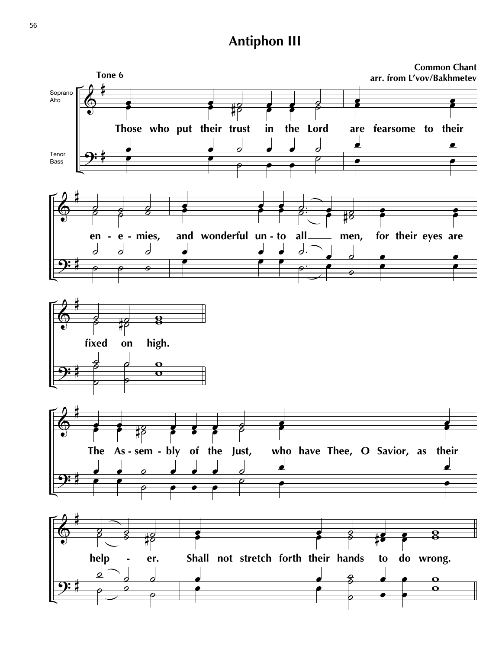# **Antiphon III**

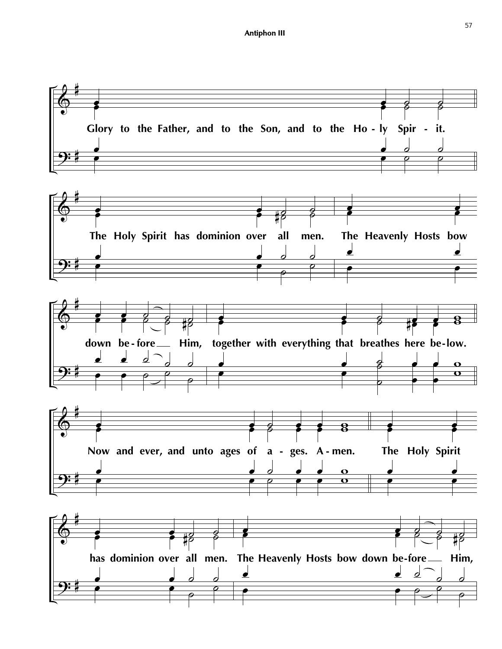![](_page_32_Figure_1.jpeg)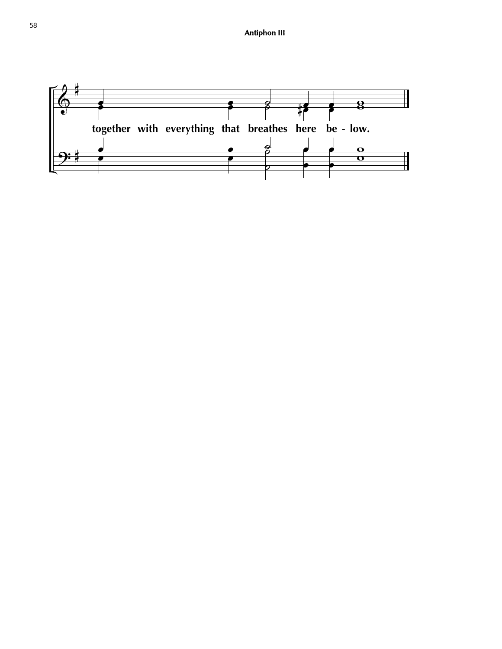![](_page_33_Figure_1.jpeg)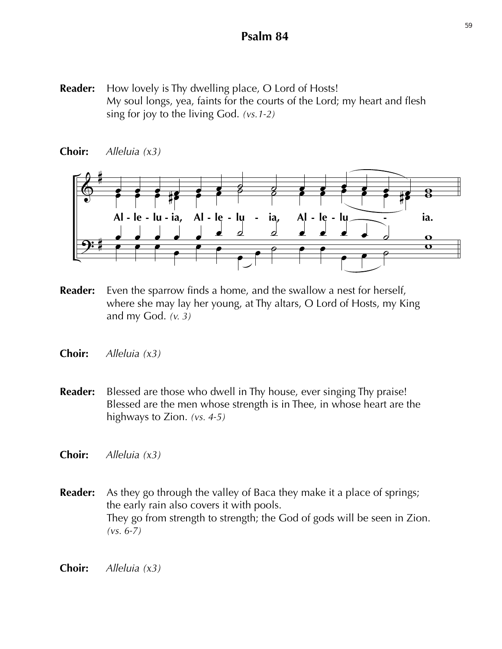# **Psalm 84**

**Reader:** How lovely is Thy dwelling place, O Lord of Hosts! My soul longs, yea, faints for the courts of the Lord; my heart and flesh sing for joy to the living God. *(vs.1-2)*

![](_page_34_Figure_2.jpeg)

**Choir:** *Alleluia (x3)*

- **Reader:** Even the sparrow finds a home, and the swallow a nest for herself, where she may lay her young, at Thy altars, O Lord of Hosts, my King and my God. *(v. 3)*
- **Choir:** *Alleluia (x3)*
- **Reader:** Blessed are those who dwell in Thy house, ever singing Thy praise! Blessed are the men whose strength is in Thee, in whose heart are the highways to Zion. *(vs. 4-5)*
- **Choir:** *Alleluia (x3)*
- **Reader:** As they go through the valley of Baca they make it a place of springs; the early rain also covers it with pools. They go from strength to strength; the God of gods will be seen in Zion. *(vs. 6-7)*
- **Choir:** *Alleluia (x3)*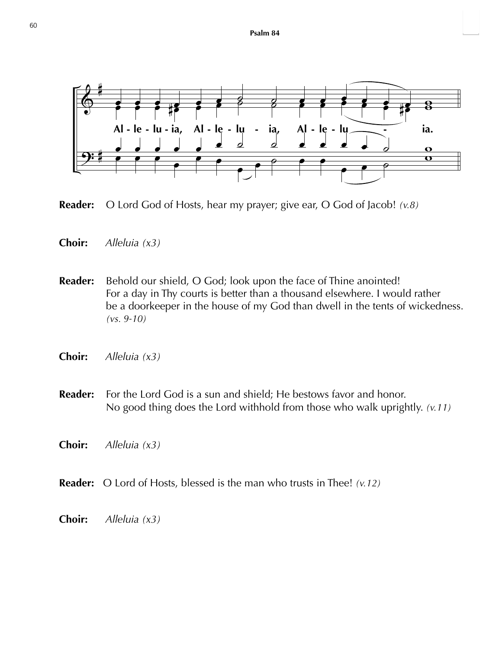![](_page_35_Figure_1.jpeg)

**Reader:** O Lord God of Hosts, hear my prayer; give ear, O God of Jacob! *(v.8)*

- **Choir:** *Alleluia (x3)*
- **Reader:** Behold our shield, O God; look upon the face of Thine anointed! For a day in Thy courts is better than a thousand elsewhere. I would rather be a doorkeeper in the house of my God than dwell in the tents of wickedness. *(vs. 9-10)*
- **Choir:** *Alleluia (x3)*
- **Reader:** For the Lord God is a sun and shield; He bestows favor and honor. No good thing does the Lord withhold from those who walk uprightly. *(v.11)*
- **Choir:** *Alleluia (x3)*
- **Reader:** O Lord of Hosts, blessed is the man who trusts in Thee! *(v.12)*
- **Choir:** *Alleluia (x3)*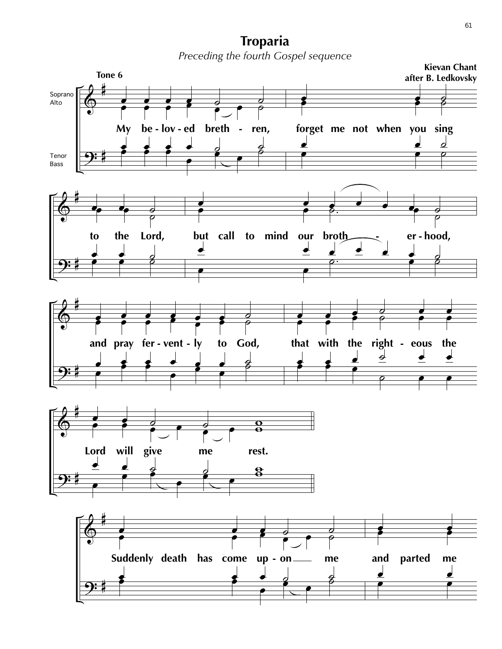**Troparia** *Preceding the fourth Gospel sequence*

![](_page_36_Figure_1.jpeg)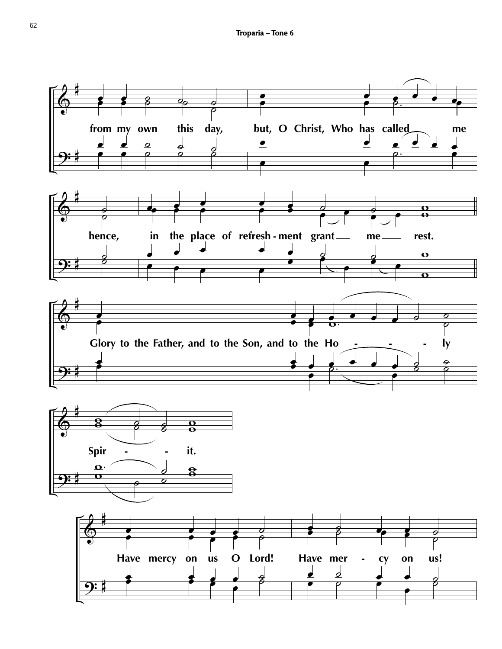![](_page_37_Figure_1.jpeg)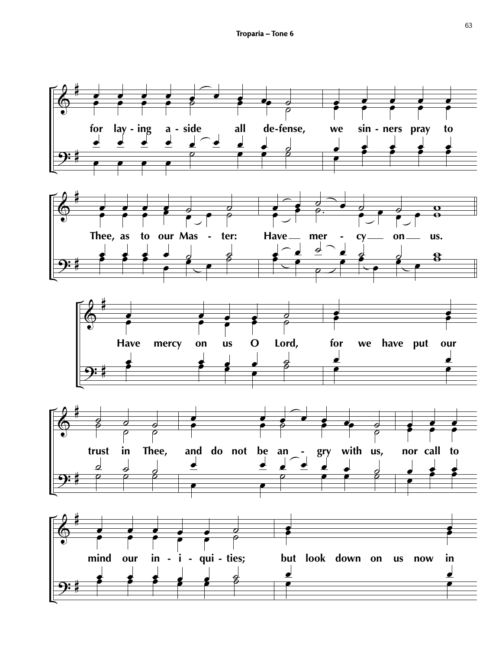![](_page_38_Figure_1.jpeg)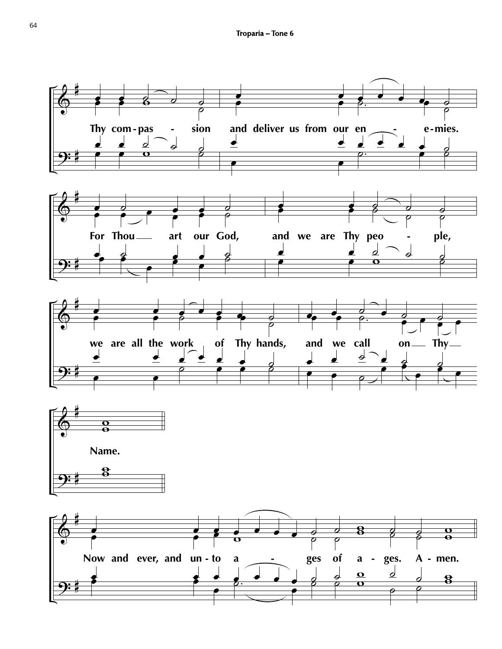![](_page_39_Figure_1.jpeg)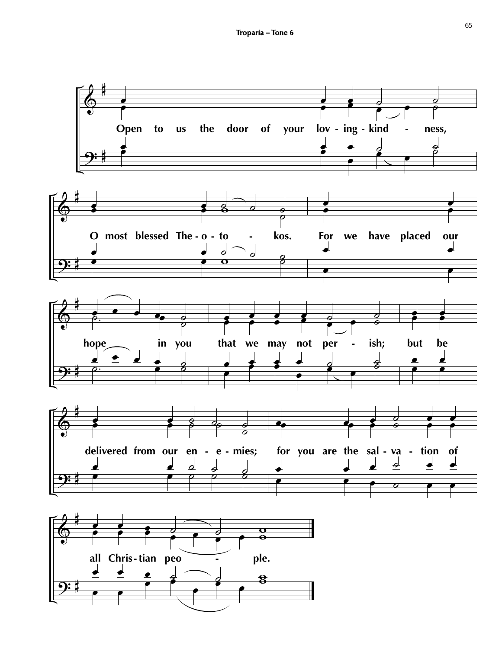![](_page_40_Figure_1.jpeg)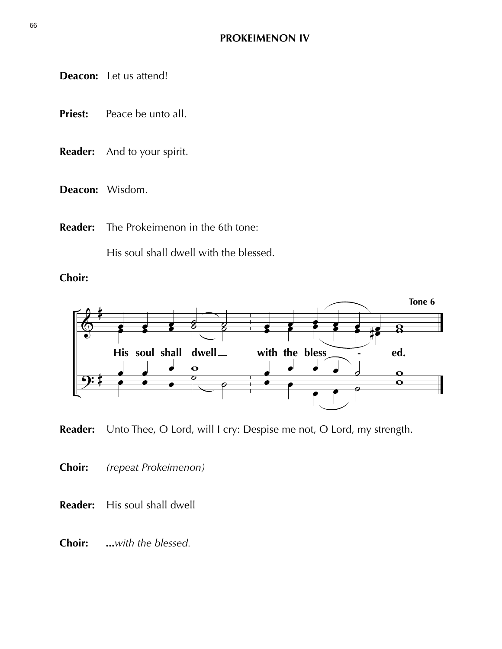**Deacon:** Let us attend!

- **Priest:** Peace be unto all.
- **Reader:** And to your spirit.
- **Deacon:** Wisdom.
- **Reader:** The Prokeimenon in the 6th tone:

His soul shall dwell with the blessed.

**Choir:** 

![](_page_41_Figure_8.jpeg)

**Reader:** Unto Thee, O Lord, will I cry: Despise me not, O Lord, my strength.

- **Choir:** *(repeat Prokeimenon)*
- **Reader:** His soul shall dwell
- **Choir:** *...with the blessed.*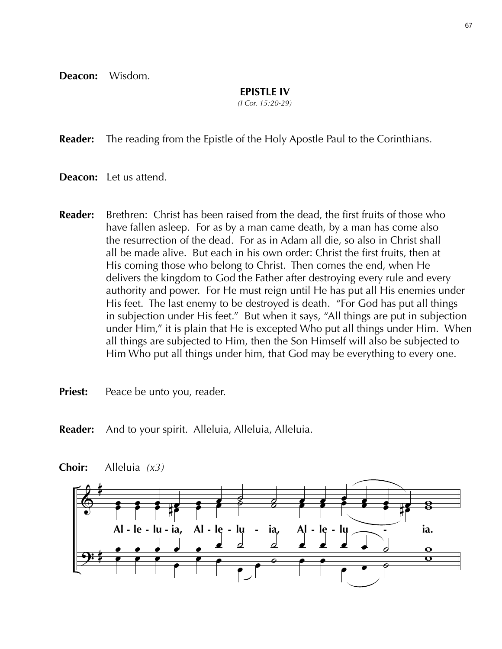**Deacon:** Wisdom.

### **EPISTLE IV**

*(I Cor. 15:20-29)*

**Reader:** The reading from the Epistle of the Holy Apostle Paul to the Corinthians.

- **Deacon:** Let us attend.
- **Reader:** Brethren: Christ has been raised from the dead, the first fruits of those who have fallen asleep. For as by a man came death, by a man has come also the resurrection of the dead. For as in Adam all die, so also in Christ shall all be made alive. But each in his own order: Christ the first fruits, then at His coming those who belong to Christ. Then comes the end, when He delivers the kingdom to God the Father after destroying every rule and every authority and power. For He must reign until He has put all His enemies under His feet. The last enemy to be destroyed is death. "For God has put all things in subjection under His feet." But when it says, "All things are put in subjection under Him," it is plain that He is excepted Who put all things under Him. When all things are subjected to Him, then the Son Himself will also be subjected to Him Who put all things under him, that God may be everything to every one.

**Priest:** Peace be unto you, reader.

**Reader:** And to your spirit. Alleluia, Alleluia, Alleluia.

![](_page_42_Figure_8.jpeg)

**Choir:** Alleluia *(x3)*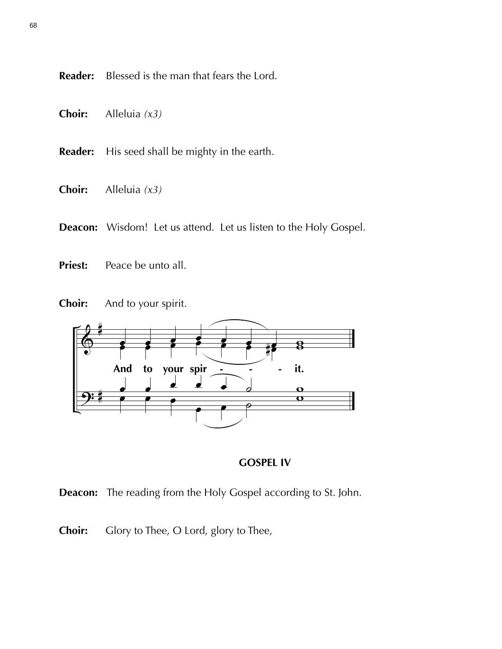**Reader:** Blessed is the man that fears the Lord.

- **Choir:** Alleluia *(x3)*
- **Reader:** His seed shall be mighty in the earth.
- **Choir:** Alleluia *(x3)*
- **Deacon:** Wisdom! Let us attend. Let us listen to the Holy Gospel.
- **Priest:** Peace be unto all.

![](_page_43_Figure_6.jpeg)

![](_page_43_Figure_7.jpeg)

![](_page_43_Figure_8.jpeg)

**Deacon:** The reading from the Holy Gospel according to St. John.

**Choir:** Glory to Thee, O Lord, glory to Thee,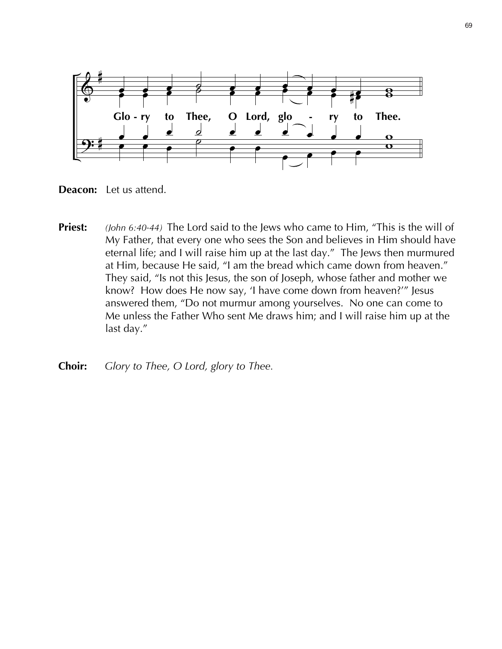![](_page_44_Figure_0.jpeg)

**Deacon:** Let us attend.

- **Priest:** *(John 6:40-44)* The Lord said to the Jews who came to Him, "This is the will of My Father, that every one who sees the Son and believes in Him should have eternal life; and I will raise him up at the last day." The Jews then murmured at Him, because He said, "I am the bread which came down from heaven." They said, "Is not this Jesus, the son of Joseph, whose father and mother we know? How does He now say, 'I have come down from heaven?'" Jesus answered them, "Do not murmur among yourselves. No one can come to Me unless the Father Who sent Me draws him; and I will raise him up at the last day."
- **Choir:** *Glory to Thee, O Lord, glory to Thee.*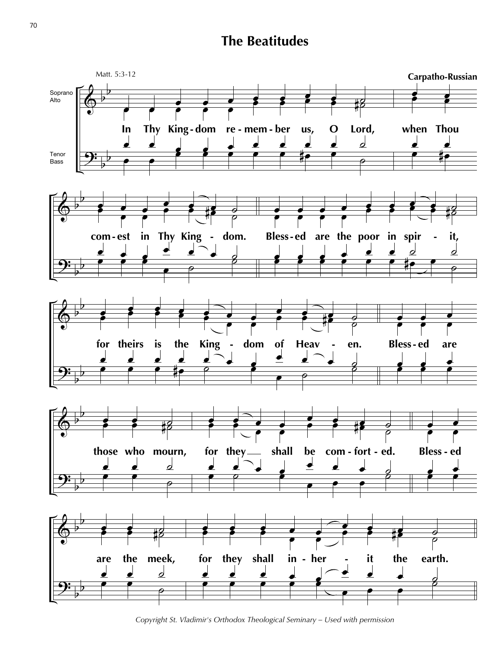# **The Beatitudes**

![](_page_45_Figure_1.jpeg)

*Copyright St. Vladimir's Orthodox Theological Seminary – Used with permission*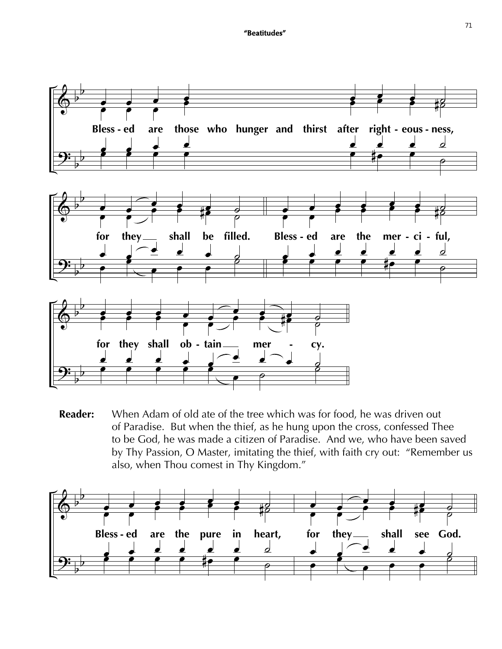![](_page_46_Figure_1.jpeg)

**Reader:** When Adam of old ate of the tree which was for food, he was driven out of Paradise. But when the thief, as he hung upon the cross, confessed Thee to be God, he was made a citizen of Paradise. And we, who have been saved by Thy Passion, O Master, imitating the thief, with faith cry out: "Remember us also, when Thou comest in Thy Kingdom."

![](_page_46_Figure_3.jpeg)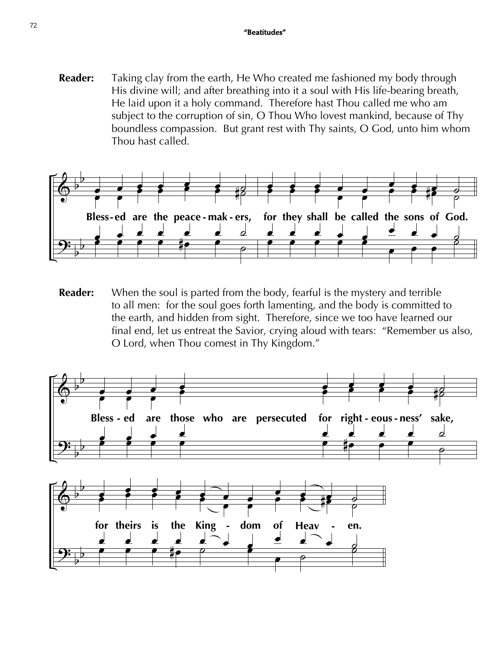**Reader:** Taking clay from the earth, He Who created me fashioned my body through His divine will; and after breathing into it a soul with His life-bearing breath, He laid upon it a holy command. Therefore hast Thou called me who am subject to the corruption of sin, O Thou Who lovest mankind, because of Thy boundless compassion. But grant rest with Thy saints, O God, unto him whom Thou hast called.

![](_page_47_Figure_2.jpeg)

**Reader:** When the soul is parted from the body, fearful is the mystery and terrible to all men: for the soul goes forth lamenting, and the body is committed to the earth, and hidden from sight. Therefore, since we too have learned our final end, let us entreat the Savior, crying aloud with tears: "Remember us also, O Lord, when Thou comest in Thy Kingdom."

![](_page_47_Figure_4.jpeg)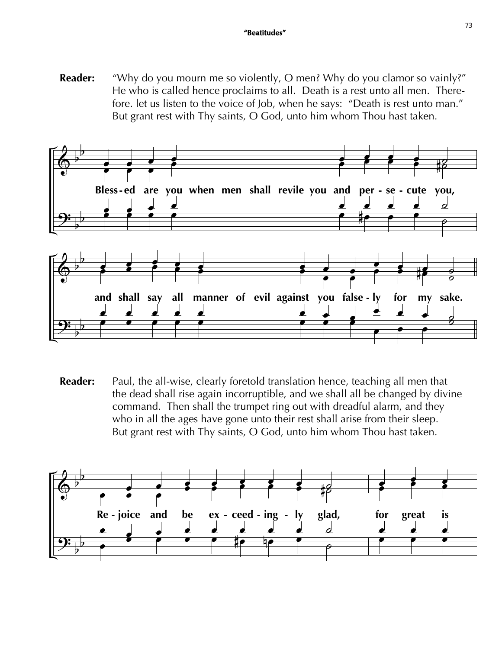# **"Beatitudes"** <sup>73</sup>

**Reader:** "Why do you mourn me so violently, O men? Why do you clamor so vainly?" He who is called hence proclaims to all. Death is a rest unto all men. There fore. let us listen to the voice of Job, when he says: "Death is rest unto man." But grant rest with Thy saints, O God, unto him whom Thou hast taken.

![](_page_48_Figure_2.jpeg)

**Reader:** Paul, the all-wise, clearly foretold translation hence, teaching all men that the dead shall rise again incorruptible, and we shall all be changed by divine command. Then shall the trumpet ring out with dreadful alarm, and they who in all the ages have gone unto their rest shall arise from their sleep. But grant rest with Thy saints, O God, unto him whom Thou hast taken.

![](_page_48_Figure_4.jpeg)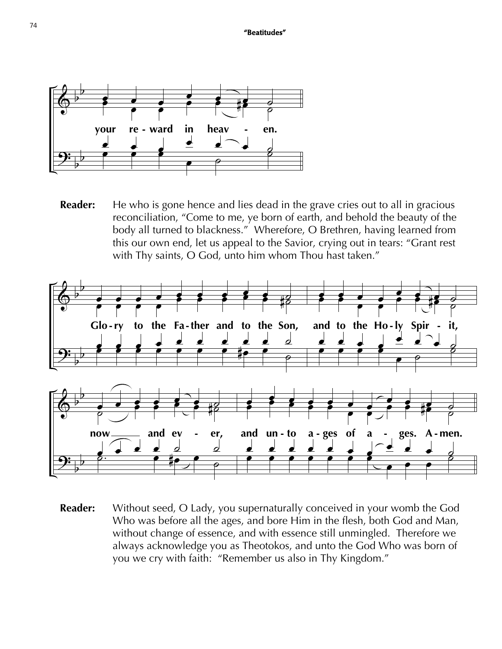![](_page_49_Figure_1.jpeg)

**Reader:** He who is gone hence and lies dead in the grave cries out to all in gracious reconciliation, "Come to me, ye born of earth, and behold the beauty of the body all turned to blackness." Wherefore, O Brethren, having learned from this our own end, let us appeal to the Savior, crying out in tears: "Grant rest with Thy saints, O God, unto him whom Thou hast taken."

![](_page_49_Figure_3.jpeg)

**Reader:** Without seed, O Lady, you supernaturally conceived in your womb the God Who was before all the ages, and bore Him in the flesh, both God and Man, without change of essence, and with essence still unmingled. Therefore we always acknowledge you as Theotokos, and unto the God Who was born of you we cry with faith: "Remember us also in Thy Kingdom."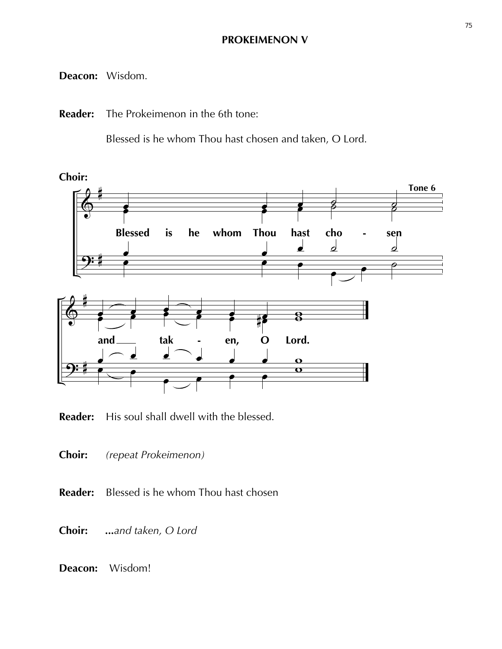### **PROKEIMENON V**

### **Deacon:** Wisdom.

**Reader:** The Prokeimenon in the 6th tone:

Blessed is he whom Thou hast chosen and taken, O Lord.

![](_page_50_Figure_4.jpeg)

**Reader:** His soul shall dwell with the blessed.

**Choir:** *(repeat Prokeimenon)*

**Reader:** Blessed is he whom Thou hast chosen

**Choir:** *...and taken, O Lord*

**Deacon:** Wisdom!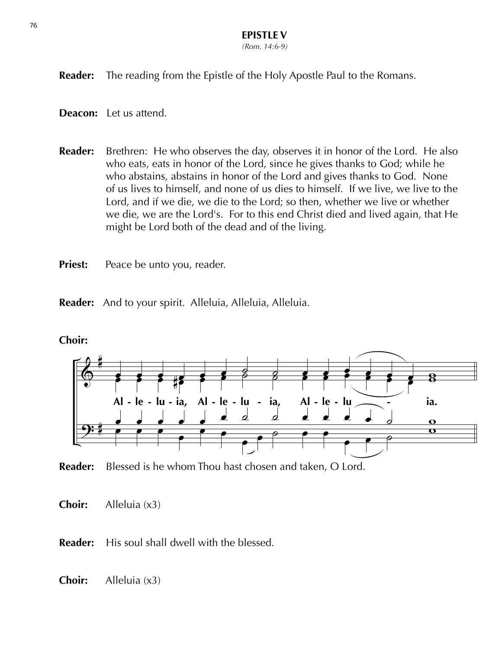*(Rom. 14:6-9)*

**Reader:** The reading from the Epistle of the Holy Apostle Paul to the Romans.

**Deacon:** Let us attend.

- **Reader:** Brethren: He who observes the day, observes it in honor of the Lord. He also who eats, eats in honor of the Lord, since he gives thanks to God; while he who abstains, abstains in honor of the Lord and gives thanks to God. None of us lives to himself, and none of us dies to himself. If we live, we live to the Lord, and if we die, we die to the Lord; so then, whether we live or whether we die, we are the Lord's. For to this end Christ died and lived again, that He might be Lord both of the dead and of the living.
- **Priest:** Peace be unto you, reader.

**Reader:** And to your spirit. Alleluia, Alleluia, Alleluia.

![](_page_51_Figure_7.jpeg)

### **Choir:**

![](_page_51_Figure_9.jpeg)

**Choir:** Alleluia (x3)

**Reader:** His soul shall dwell with the blessed.

**Choir:** Alleluia (x3)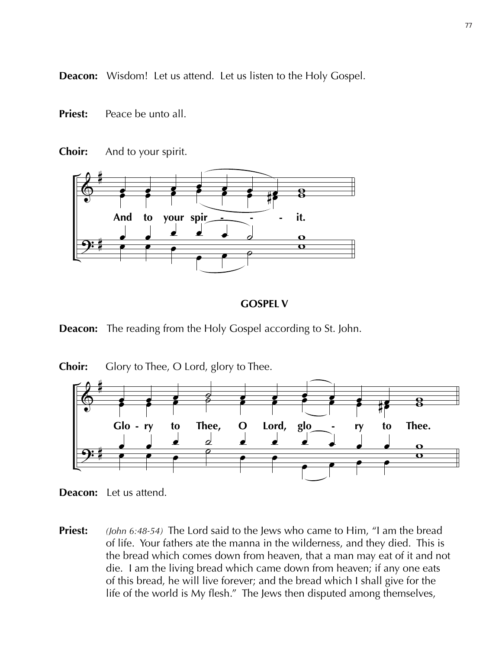**Deacon:** Wisdom! Let us attend. Let us listen to the Holy Gospel.

- **Priest:** Peace be unto all.
- **Choir:** And to your spirit.

![](_page_52_Figure_3.jpeg)

### **GOSPEL V**

**Deacon:** The reading from the Holy Gospel according to St. John.

![](_page_52_Figure_6.jpeg)

**Choir:** Glory to Thee, O Lord, glory to Thee.

- **Deacon:** Let us attend.
- **Priest:** *(John 6:48-54)* The Lord said to the Jews who came to Him, "I am the bread of life. Your fathers ate the manna in the wilderness, and they died. This is the bread which comes down from heaven, that a man may eat of it and not die. I am the living bread which came down from heaven; if any one eats of this bread, he will live forever; and the bread which I shall give for the life of the world is My flesh." The Jews then disputed among themselves,